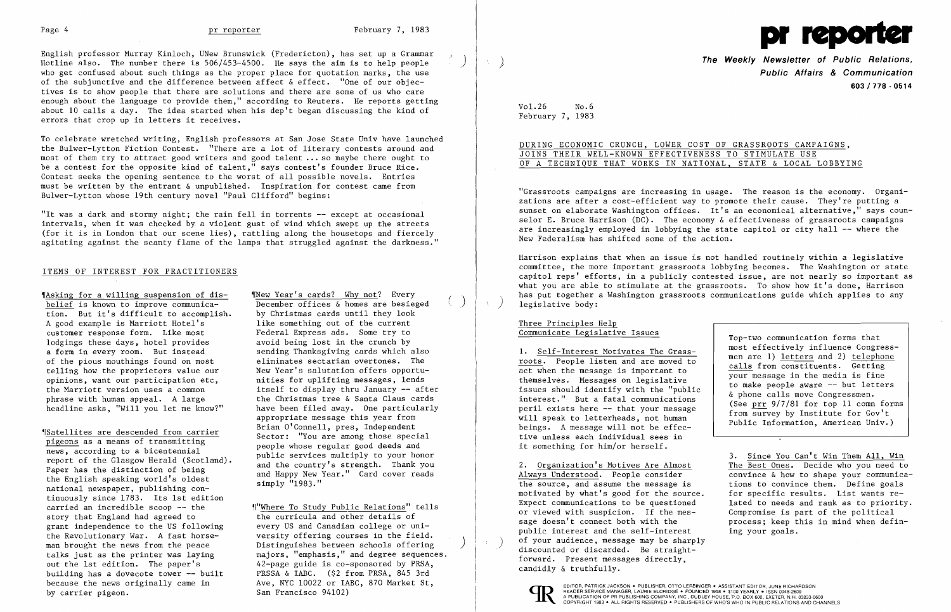

English professor Murray Kinloch, UNew Brunswick (Fredericton), has set up a Grammar  $\begin{pmatrix} 1 & 1 \\ 0 & 1 \end{pmatrix}$ Hotline also. The number there is 506/453-4500. He says the aim is to help people ) who get confused about such things as the proper place for quotation marks, the use of the subjunctive and the difference between affect & effect. "One of our objectives is to show people that there are solutions and there are some of us who care enough about the language to provide them," according to Reuters. He reports getting about 10 calls a day. The idea started when his dep't began discussing the kind of errors that crop up in letters it receives.

To celebrate wretched writing, English professors at San Jose State Univ have launched the Bulwer-Lytton Fiction Contest. "There are a lot of literary contests around and most of them try to attract good writers and good talent ... so maybe there ought to be a contest for the opposite kind of talent," says contest's founder Bruce Rice. Contest seeks the opening sentence to the worst of all possible novels. Entries must be written by the entrant & unpublished. Inspiration for contest came from Bulwer-Lytton whose 19th century novel "Paul Clifford" begins:

'|Asking for a willing suspension of dis-<br>
belief is known to improve communica-<br>
December offices & homes are besie tion. But it's difficult to accomplish. by Christmas cards until they look<br>A good example is Marriott Hotel's like something out of the current A good example is Marriott Hotel's like something out of the current<br>customer response form. Like most Federal Express ads. Some try to customer response form. Like most lodgings these days, hotel provides avoid being lost in the crunch by a form in every room. But instead sending Thanksgiving cards which also of the pious mouthings found on most eliminates sectarian overtones. The telling how the proprietors value our New Year's salutation offers opportuopinions, want our participation etc, nities for uplifting messages, lends the Marriott version uses a common<br>phrase with human appeal. A large the Christmas tree & Santa Claus cards headline asks, "Will you let me know?" have been filed away. One particularly

news, according to a bicentennial<br>
report of the Glasgow Herald (Scotland).<br>
Paper has the distinction of being<br>
the English speaking world's oldest<br>
mational newspaper, publishing con-<br>
emply "1983."<br>
Thank you and Happy national newspaper, publishing continuously since 1783. Its 1st edition carried an incredible scoop -- the ,r"Where To Study Public Relations" tells story that England had agreed to the curricula and other details of grant independence to the US following every US and Canadian college or unithe Revolutionary War. A fast horse- versity offering courses in the field. because the news originally came in Ave, NYC 10022 or IABC, 870 Market St,

December offices  $\⊂>homes$  are besieged by Christmas cards until they look the Christmas tree & Santa Claus cards appropriate message this year from We are descended from carrier and o'Connell, pres, Independent pigeons as a means of transmitting sector: "You are among those special people whose regular good deeds and people whose regular good deeds and  $\frac{1}{2}$ 

man brought the news from the peace Distinguishes between schools offering<br>talks just as the printer was laying majors, "emphasis," and degree sequences.<br>out the 1st edition. The paper's 42-page guide is co-sponsored by PR

"It was a dark and stormy night; the rain fell in torrents -- except at occasional intervals, when it was checked by. a violent gust of wind which swept up the streets (for it is in London that our scene lies), rattling along the housetops and fiercely agitating against the scanty flame of the lamps that struggled against the darkness."

## ITEMS OF INTEREST FOR PRACTITIONERS

The Weekly Newsletter of Public Relations, Public Affairs & Communication 603/778 - 0514

Harrison explains that when an issue is not handled routinely within a legislative committee, the more important grassroots lobbying becomes. The Washington or state capitol reps' efforts, in a publicly contested issue, are not nearly so important as what you are able to stimulate at the grassroots. To show how it's done, Harrison has put together a Washington grassroots communications guide which applies to any legislative body:

EDITOR, PATRICK JACKSON. PUBLISHER, OTTO LERBINGER • ASSISTANT EDITOR, JUNE RICHARDSON by carrier pigeon.<br>San Francisco 94102) San Francisco 94102 San Exercic MANAGER, LAURIE ELDRIDGE • FOUNDED 1958 • \$100 YEARLY • ISSN 0048-2609

Vol. 26 No.6 February 7, 1983

DURING ECONOMIC CRUNCH, LOWER COST OF GRASSROOTS CAMPAIGNS, JOINS THEIR WELL-KNOWN EFFECTIVENESS TO STIMULATE USE OF A TECHNIQUE THAT WORKS IN NATIONAL, STATE & LOCAL LOBBYING

"Grassroots campaigns are increasing in usage. The reason is the economy. Organizations are after a cost-efficient way to promote their cause. They're putting a sunset on elaborate Washington offices. It's an economical alternative," says counselor E. Bruce Harrison (DC). The economy & effectiveness of grassroots campaigns are increasingly employed in lobbying the state capitol or city hall -- where the New Federalism has shifted some of the action.

Three Principles Help Communicate Legislative Issues

1. Self-Interest Motivates The Grassroots. People listen and are moved to act when the message is important to themselves. Messages on legislative issues should identify with the "public interest." But a fatal communications peril exists here -- that your message will speak to letterheads, not human beings. A message will not be effective unless each individual sees in it something for him/or herself.

2. Organization's Motives Are Almost Always Understood. People consider the source, and assume the message is motivated by what's good for the source. Expect communications to be questioned or viewed with suspicion. If the message doesn't connect both with the public interest and the self-interest of your audience, message may be sharply



Top-two communication forms that most effectively influence Congressmen are 1) letters and 2) telephone calls from constituents. Getting your message in the media is fine to make people aware -- but letters & phone calls move Congressmen. (See prr 9/7/81 for top 11 comn forms from survey by Institute for Gov't Public Information, American Univ.)

3. Since You Can't Win Them All, Win The Best Ones. Decide who you need to convince & how to shape your communications to convince them. Define goals for specific results. List wants related to needs and rank as to priority. Compromise is part of the political process; keep this in mind when defining your goals.